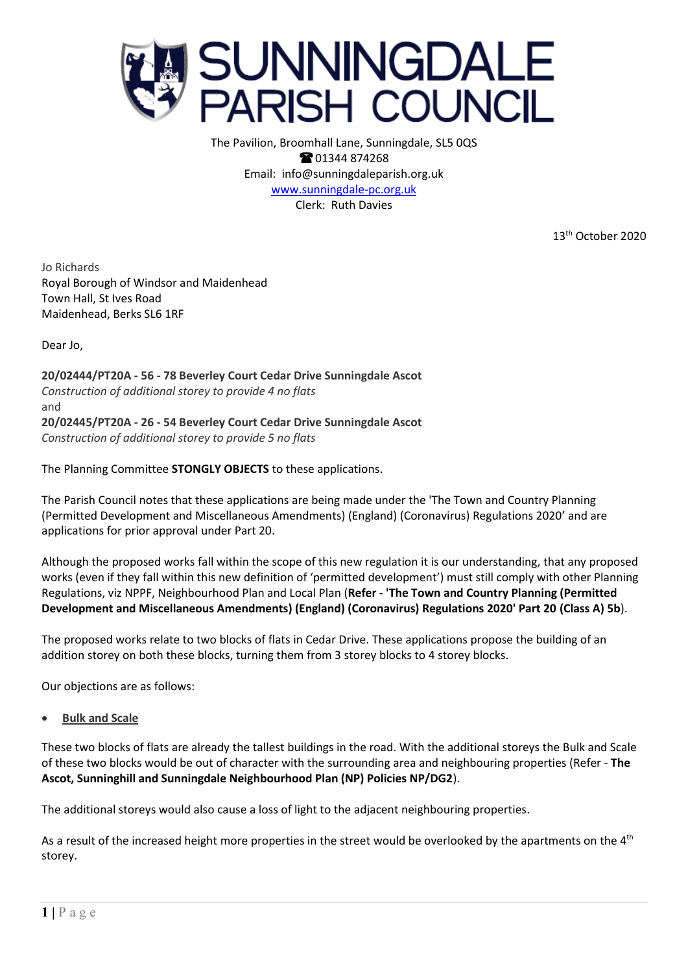

The Pavilion, Broomhall Lane, Sunningdale, SL5 0QS **@01344874268** Email: info@sunningdaleparish.org.uk [www.sunningdale-pc.org.uk](http://www.sunningdale-pc.org.uk/) Clerk: Ruth Davies

13th October 2020

Jo Richards Royal Borough of Windsor and Maidenhead Town Hall, St Ives Road Maidenhead, Berks SL6 1RF

Dear Jo,

**20/02444/PT20A - 56 - 78 Beverley Court Cedar Drive Sunningdale Ascot**  *Construction of additional storey to provide 4 no flats* and **20/02445/PT20A - 26 - 54 Beverley Court Cedar Drive Sunningdale Ascot** *Construction of additional storey to provide 5 no flats*

The Planning Committee **STONGLY OBJECTS** to these applications.

The Parish Council notes that these applications are being made under the 'The Town and Country Planning (Permitted Development and Miscellaneous Amendments) (England) (Coronavirus) Regulations 2020' and are applications for prior approval under Part 20.

Although the proposed works fall within the scope of this new regulation it is our understanding, that any proposed works (even if they fall within this new definition of 'permitted development') must still comply with other Planning Regulations, viz NPPF, Neighbourhood Plan and Local Plan (**Refer - 'The Town and Country Planning (Permitted Development and Miscellaneous Amendments) (England) (Coronavirus) Regulations 2020' Part 20 (Class A) 5b**).

The proposed works relate to two blocks of flats in Cedar Drive. These applications propose the building of an addition storey on both these blocks, turning them from 3 storey blocks to 4 storey blocks.

Our objections are as follows:

• **Bulk and Scale**

These two blocks of flats are already the tallest buildings in the road. With the additional storeys the Bulk and Scale of these two blocks would be out of character with the surrounding area and neighbouring properties (Refer - **The Ascot, Sunninghill and Sunningdale Neighbourhood Plan (NP) Policies NP/DG2**).

The additional storeys would also cause a loss of light to the adjacent neighbouring properties.

As a result of the increased height more properties in the street would be overlooked by the apartments on the 4<sup>th</sup> storey.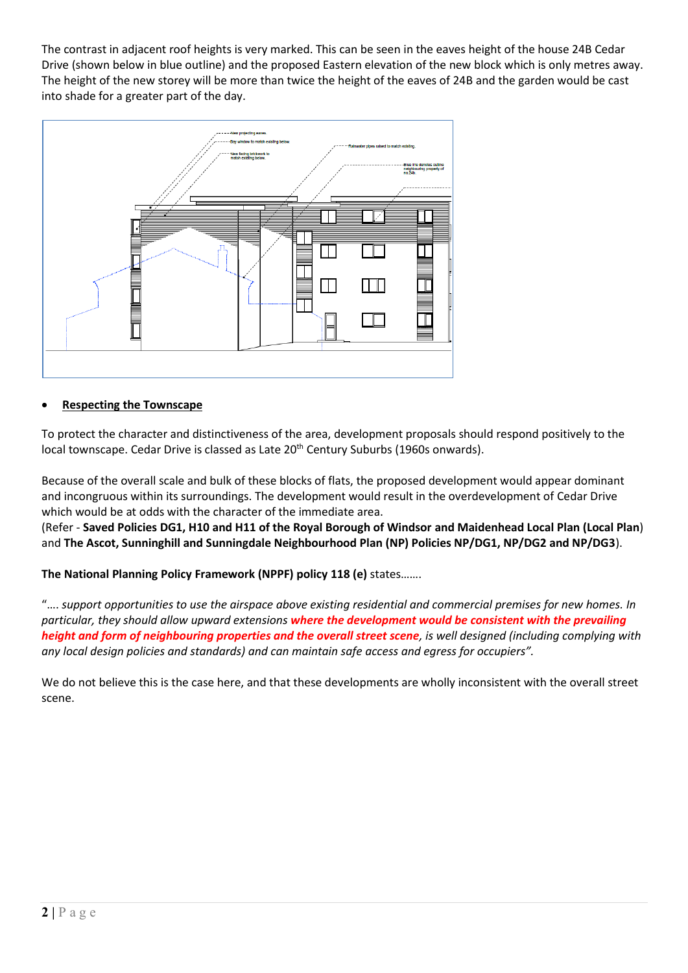The contrast in adjacent roof heights is very marked. This can be seen in the eaves height of the house 24B Cedar Drive (shown below in blue outline) and the proposed Eastern elevation of the new block which is only metres away. The height of the new storey will be more than twice the height of the eaves of 24B and the garden would be cast into shade for a greater part of the day.



# • **Respecting the Townscape**

To protect the character and distinctiveness of the area, development proposals should respond positively to the local townscape. Cedar Drive is classed as Late 20<sup>th</sup> Century Suburbs (1960s onwards).

Because of the overall scale and bulk of these blocks of flats, the proposed development would appear dominant and incongruous within its surroundings. The development would result in the overdevelopment of Cedar Drive which would be at odds with the character of the immediate area.

(Refer - **Saved Policies DG1, H10 and H11 of the Royal Borough of Windsor and Maidenhead Local Plan (Local Plan**) and **The Ascot, Sunninghill and Sunningdale Neighbourhood Plan (NP) Policies NP/DG1, NP/DG2 and NP/DG3**).

**The National Planning Policy Framework (NPPF) policy 118 (e)** states…….

"…. *support opportunities to use the airspace above existing residential and commercial premises for new homes. In particular, they should allow upward extensions where the development would be consistent with the prevailing height and form of neighbouring properties and the overall street scene, is well designed (including complying with any local design policies and standards) and can maintain safe access and egress for occupiers".*

We do not believe this is the case here, and that these developments are wholly inconsistent with the overall street scene.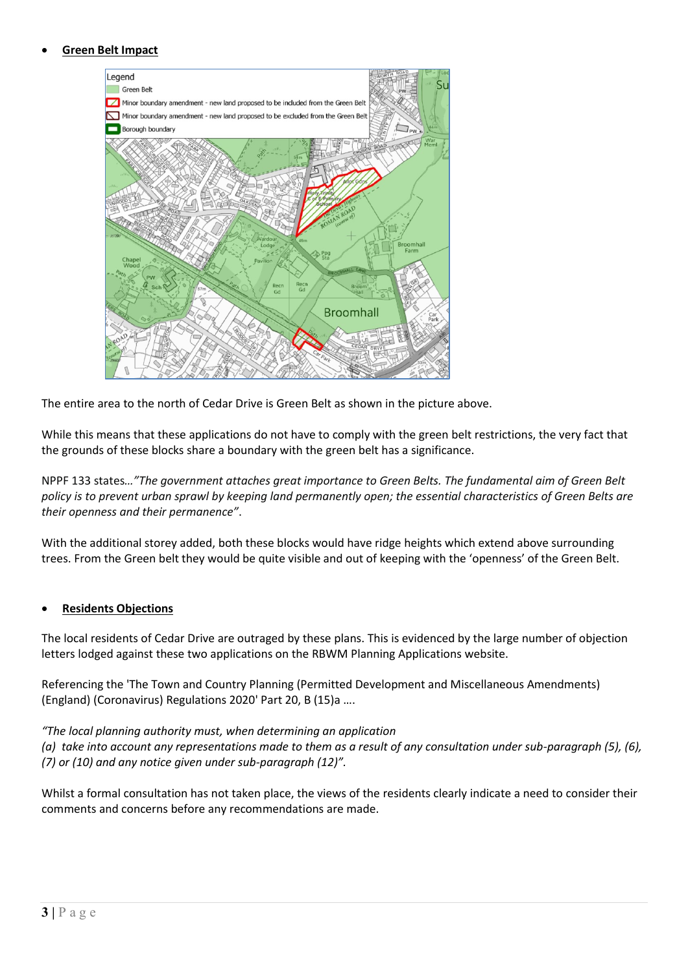### • **Green Belt Impact**



The entire area to the north of Cedar Drive is Green Belt as shown in the picture above.

While this means that these applications do not have to comply with the green belt restrictions, the very fact that the grounds of these blocks share a boundary with the green belt has a significance.

NPPF 133 states*…"The government attaches great importance to Green Belts. The fundamental aim of Green Belt policy is to prevent urban sprawl by keeping land permanently open; the essential characteristics of Green Belts are their openness and their permanence"*.

With the additional storey added, both these blocks would have ridge heights which extend above surrounding trees. From the Green belt they would be quite visible and out of keeping with the 'openness' of the Green Belt.

### • **Residents Objections**

The local residents of Cedar Drive are outraged by these plans. This is evidenced by the large number of objection letters lodged against these two applications on the RBWM Planning Applications website.

Referencing the 'The Town and Country Planning (Permitted Development and Miscellaneous Amendments) (England) (Coronavirus) Regulations 2020' Part 20, B (15)a ….

### *"The local planning authority must, when determining an application*

*(a) take into account any representations made to them as a result of any consultation under sub-paragraph (5), (6), (7) or (10) and any notice given under sub-paragraph (12)".*

Whilst a formal consultation has not taken place, the views of the residents clearly indicate a need to consider their comments and concerns before any recommendations are made.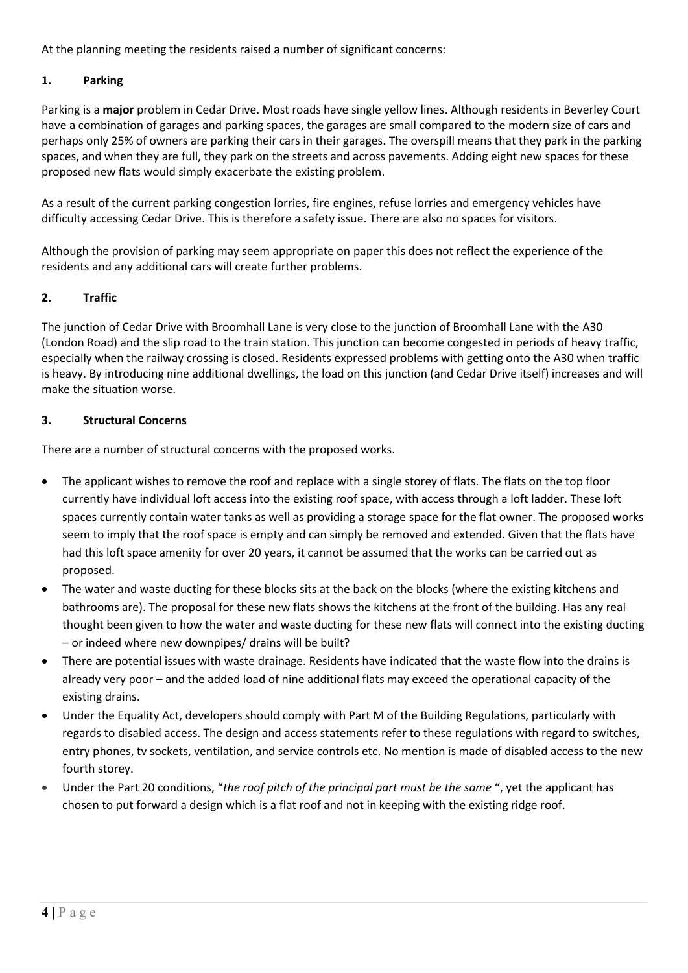At the planning meeting the residents raised a number of significant concerns:

## **1. Parking**

Parking is a **major** problem in Cedar Drive. Most roads have single yellow lines. Although residents in Beverley Court have a combination of garages and parking spaces, the garages are small compared to the modern size of cars and perhaps only 25% of owners are parking their cars in their garages. The overspill means that they park in the parking spaces, and when they are full, they park on the streets and across pavements. Adding eight new spaces for these proposed new flats would simply exacerbate the existing problem.

As a result of the current parking congestion lorries, fire engines, refuse lorries and emergency vehicles have difficulty accessing Cedar Drive. This is therefore a safety issue. There are also no spaces for visitors.

Although the provision of parking may seem appropriate on paper this does not reflect the experience of the residents and any additional cars will create further problems.

### **2. Traffic**

The junction of Cedar Drive with Broomhall Lane is very close to the junction of Broomhall Lane with the A30 (London Road) and the slip road to the train station. This junction can become congested in periods of heavy traffic, especially when the railway crossing is closed. Residents expressed problems with getting onto the A30 when traffic is heavy. By introducing nine additional dwellings, the load on this junction (and Cedar Drive itself) increases and will make the situation worse.

### **3. Structural Concerns**

There are a number of structural concerns with the proposed works.

- The applicant wishes to remove the roof and replace with a single storey of flats. The flats on the top floor currently have individual loft access into the existing roof space, with access through a loft ladder. These loft spaces currently contain water tanks as well as providing a storage space for the flat owner. The proposed works seem to imply that the roof space is empty and can simply be removed and extended. Given that the flats have had this loft space amenity for over 20 years, it cannot be assumed that the works can be carried out as proposed.
- The water and waste ducting for these blocks sits at the back on the blocks (where the existing kitchens and bathrooms are). The proposal for these new flats shows the kitchens at the front of the building. Has any real thought been given to how the water and waste ducting for these new flats will connect into the existing ducting – or indeed where new downpipes/ drains will be built?
- There are potential issues with waste drainage. Residents have indicated that the waste flow into the drains is already very poor – and the added load of nine additional flats may exceed the operational capacity of the existing drains.
- Under the Equality Act, developers should comply with Part M of the Building Regulations, particularly with regards to disabled access. The design and access statements refer to these regulations with regard to switches, entry phones, tv sockets, ventilation, and service controls etc. No mention is made of disabled access to the new fourth storey.
- Under the Part 20 conditions, "*the roof pitch of the principal part must be the same* ", yet the applicant has chosen to put forward a design which is a flat roof and not in keeping with the existing ridge roof.